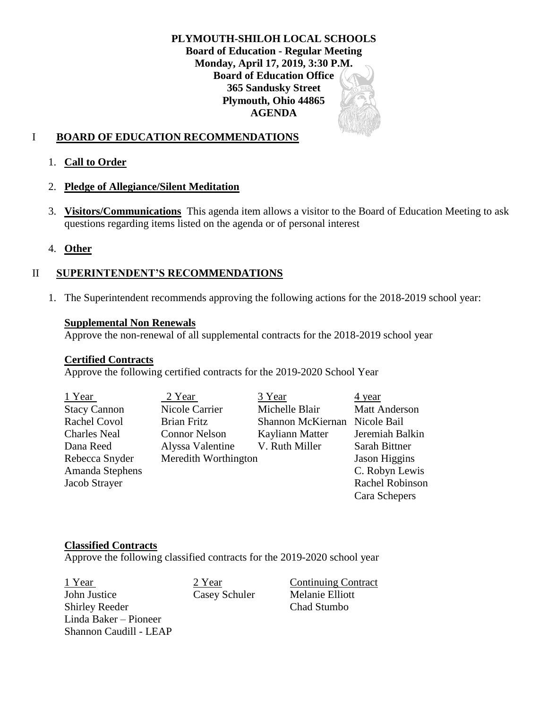**PLYMOUTH-SHILOH LOCAL SCHOOLS Board of Education - Regular Meeting Monday, April 17, 2019, 3:30 P.M. Board of Education Office 365 Sandusky Street Plymouth, Ohio 44865 AGENDA**

## I **BOARD OF EDUCATION RECOMMENDATIONS**

### 1. **Call to Order**

### 2. **Pledge of Allegiance/Silent Meditation**

3. **Visitors/Communications** This agenda item allows a visitor to the Board of Education Meeting to ask questions regarding items listed on the agenda or of personal interest

### 4. **Other**

## II **SUPERINTENDENT'S RECOMMENDATIONS**

1. The Superintendent recommends approving the following actions for the 2018-2019 school year:

#### **Supplemental Non Renewals**

Approve the non-renewal of all supplemental contracts for the 2018-2019 school year

### **Certified Contracts**

Approve the following certified contracts for the 2019-2020 School Year

| 1 Year              | 2 Year               | 3 Year                        | $\frac{4 \text{ year}}{2}$ |
|---------------------|----------------------|-------------------------------|----------------------------|
| <b>Stacy Cannon</b> | Nicole Carrier       | Michelle Blair                | <b>Matt Anderson</b>       |
| <b>Rachel Covol</b> | <b>Brian Fritz</b>   | Shannon McKiernan Nicole Bail |                            |
| <b>Charles Neal</b> | <b>Connor Nelson</b> | Kayliann Matter               | Jeremiah Balkin            |
| Dana Reed           | Alyssa Valentine     | V. Ruth Miller                | Sarah Bittner              |
| Rebecca Snyder      | Meredith Worthington |                               | Jason Higgins              |
| Amanda Stephens     |                      |                               | C. Robyn Lewis             |
| Jacob Strayer       |                      |                               | Rachel Robinson            |
|                     |                      |                               | Cara Schepers              |

#### **Classified Contracts**

Approve the following classified contracts for the 2019-2020 school year

1 Year 2 Year Continuing Contract John Justice Casey Schuler Melanie Elliott Shirley Reeder Chad Stumbo Linda Baker – Pioneer Shannon Caudill - LEAP